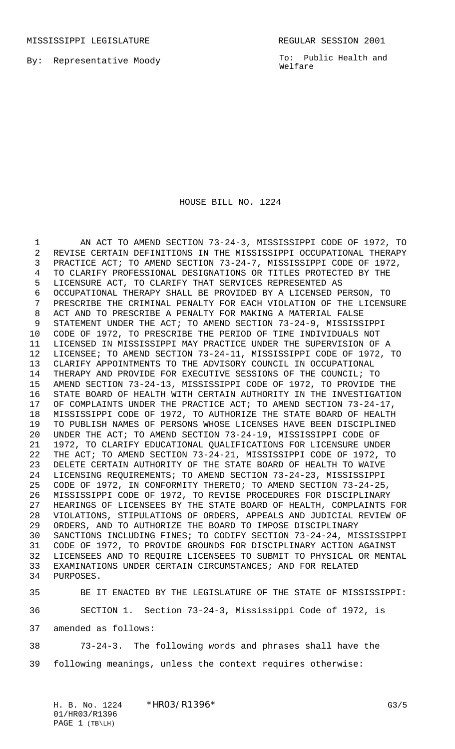By: Representative Moody

To: Public Health and Welfare

## HOUSE BILL NO. 1224

 AN ACT TO AMEND SECTION 73-24-3, MISSISSIPPI CODE OF 1972, TO REVISE CERTAIN DEFINITIONS IN THE MISSISSIPPI OCCUPATIONAL THERAPY PRACTICE ACT; TO AMEND SECTION 73-24-7, MISSISSIPPI CODE OF 1972, TO CLARIFY PROFESSIONAL DESIGNATIONS OR TITLES PROTECTED BY THE LICENSURE ACT, TO CLARIFY THAT SERVICES REPRESENTED AS OCCUPATIONAL THERAPY SHALL BE PROVIDED BY A LICENSED PERSON, TO PRESCRIBE THE CRIMINAL PENALTY FOR EACH VIOLATION OF THE LICENSURE ACT AND TO PRESCRIBE A PENALTY FOR MAKING A MATERIAL FALSE STATEMENT UNDER THE ACT; TO AMEND SECTION 73-24-9, MISSISSIPPI CODE OF 1972, TO PRESCRIBE THE PERIOD OF TIME INDIVIDUALS NOT LICENSED IN MISSISSIPPI MAY PRACTICE UNDER THE SUPERVISION OF A LICENSEE; TO AMEND SECTION 73-24-11, MISSISSIPPI CODE OF 1972, TO CLARIFY APPOINTMENTS TO THE ADVISORY COUNCIL IN OCCUPATIONAL THERAPY AND PROVIDE FOR EXECUTIVE SESSIONS OF THE COUNCIL; TO AMEND SECTION 73-24-13, MISSISSIPPI CODE OF 1972, TO PROVIDE THE STATE BOARD OF HEALTH WITH CERTAIN AUTHORITY IN THE INVESTIGATION OF COMPLAINTS UNDER THE PRACTICE ACT; TO AMEND SECTION 73-24-17, MISSISSIPPI CODE OF 1972, TO AUTHORIZE THE STATE BOARD OF HEALTH TO PUBLISH NAMES OF PERSONS WHOSE LICENSES HAVE BEEN DISCIPLINED UNDER THE ACT; TO AMEND SECTION 73-24-19, MISSISSIPPI CODE OF 1972, TO CLARIFY EDUCATIONAL QUALIFICATIONS FOR LICENSURE UNDER THE ACT; TO AMEND SECTION 73-24-21, MISSISSIPPI CODE OF 1972, TO DELETE CERTAIN AUTHORITY OF THE STATE BOARD OF HEALTH TO WAIVE LICENSING REQUIREMENTS; TO AMEND SECTION 73-24-23, MISSISSIPPI CODE OF 1972, IN CONFORMITY THERETO; TO AMEND SECTION 73-24-25, MISSISSIPPI CODE OF 1972, TO REVISE PROCEDURES FOR DISCIPLINARY HEARINGS OF LICENSEES BY THE STATE BOARD OF HEALTH, COMPLAINTS FOR VIOLATIONS, STIPULATIONS OF ORDERS, APPEALS AND JUDICIAL REVIEW OF ORDERS, AND TO AUTHORIZE THE BOARD TO IMPOSE DISCIPLINARY SANCTIONS INCLUDING FINES; TO CODIFY SECTION 73-24-24, MISSISSIPPI CODE OF 1972, TO PROVIDE GROUNDS FOR DISCIPLINARY ACTION AGAINST LICENSEES AND TO REQUIRE LICENSEES TO SUBMIT TO PHYSICAL OR MENTAL EXAMINATIONS UNDER CERTAIN CIRCUMSTANCES; AND FOR RELATED PURPOSES.

 BE IT ENACTED BY THE LEGISLATURE OF THE STATE OF MISSISSIPPI: SECTION 1. Section 73-24-3, Mississippi Code of 1972, is amended as follows:

 73-24-3. The following words and phrases shall have the following meanings, unless the context requires otherwise:

H. B. No. 1224 \* HRO3/R1396 \* G3/5 01/HR03/R1396 PAGE 1 (TB\LH)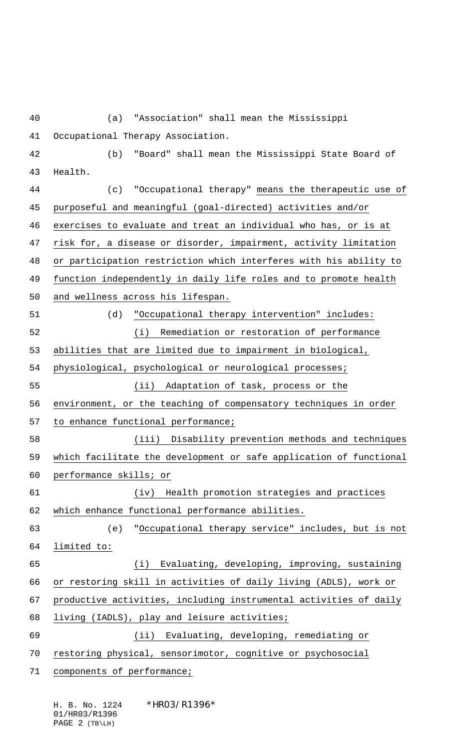(a) "Association" shall mean the Mississippi Occupational Therapy Association. (b) "Board" shall mean the Mississippi State Board of Health. (c) "Occupational therapy" means the therapeutic use of purposeful and meaningful (goal-directed) activities and/or exercises to evaluate and treat an individual who has, or is at risk for, a disease or disorder, impairment, activity limitation or participation restriction which interferes with his ability to function independently in daily life roles and to promote health and wellness across his lifespan. (d) "Occupational therapy intervention" includes: (i) Remediation or restoration of performance abilities that are limited due to impairment in biological, physiological, psychological or neurological processes; (ii) Adaptation of task, process or the environment, or the teaching of compensatory techniques in order 57 to enhance functional performance; (iii) Disability prevention methods and techniques which facilitate the development or safe application of functional performance skills; or (iv) Health promotion strategies and practices which enhance functional performance abilities. (e) "Occupational therapy service" includes, but is not limited to: (i) Evaluating, developing, improving, sustaining or restoring skill in activities of daily living (ADLS), work or productive activities, including instrumental activities of daily living (IADLS), play and leisure activities; (ii) Evaluating, developing, remediating or 70 restoring physical, sensorimotor, cognitive or psychosocial 71 components of performance;

H. B. No. 1224 \* HRO3/R1396\* 01/HR03/R1396 PAGE 2 (TB\LH)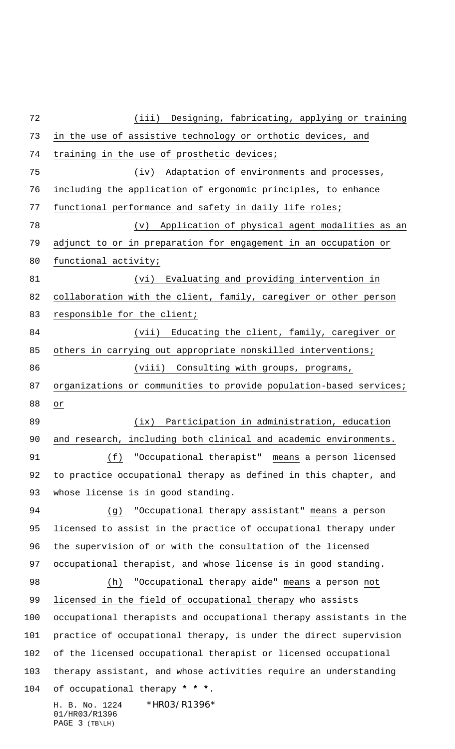H. B. No. 1224 \* HRO3/R1396\* 01/HR03/R1396 PAGE 3 (TB\LH) (iii) Designing, fabricating, applying or training in the use of assistive technology or orthotic devices, and training in the use of prosthetic devices; 75 (iv) Adaptation of environments and processes, including the application of ergonomic principles, to enhance functional performance and safety in daily life roles; (v) Application of physical agent modalities as an adjunct to or in preparation for engagement in an occupation or functional activity; (vi) Evaluating and providing intervention in 82 collaboration with the client, family, caregiver or other person 83 responsible for the client; (vii) Educating the client, family, caregiver or others in carrying out appropriate nonskilled interventions; 86 (viii) Consulting with groups, programs, organizations or communities to provide population-based services; or (ix) Participation in administration, education and research, including both clinical and academic environments. (f) "Occupational therapist" means a person licensed to practice occupational therapy as defined in this chapter, and whose license is in good standing. (g) "Occupational therapy assistant" means a person licensed to assist in the practice of occupational therapy under the supervision of or with the consultation of the licensed occupational therapist, and whose license is in good standing. (h) "Occupational therapy aide" means a person not licensed in the field of occupational therapy who assists occupational therapists and occupational therapy assistants in the practice of occupational therapy, is under the direct supervision of the licensed occupational therapist or licensed occupational therapy assistant, and whose activities require an understanding of occupational therapy **\* \* \***.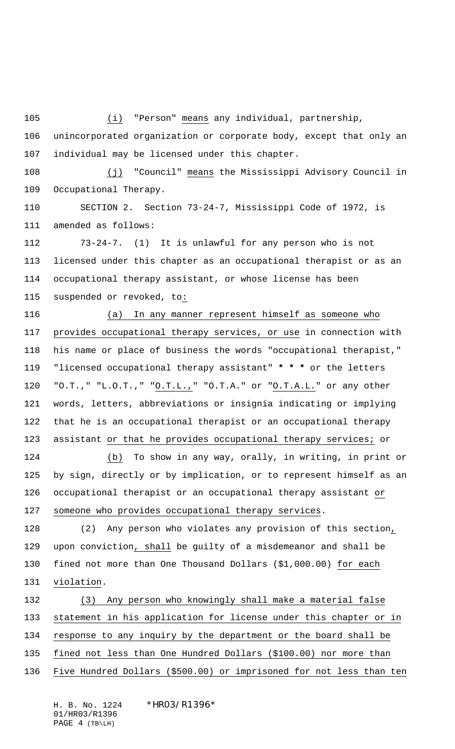(i) "Person" means any individual, partnership,

 unincorporated organization or corporate body, except that only an individual may be licensed under this chapter.

108 (j) "Council" means the Mississippi Advisory Council in Occupational Therapy.

 SECTION 2. Section 73-24-7, Mississippi Code of 1972, is amended as follows:

 73-24-7. (1) It is unlawful for any person who is not licensed under this chapter as an occupational therapist or as an occupational therapy assistant, or whose license has been suspended or revoked, to:

 (a) In any manner represent himself as someone who provides occupational therapy services, or use in connection with his name or place of business the words "occupational therapist," "licensed occupational therapy assistant" **\* \* \*** or the letters "O.T.," "L.O.T.," "O.T.L.," "O.T.A." or "O.T.A.L." or any other words, letters, abbreviations or insignia indicating or implying that he is an occupational therapist or an occupational therapy assistant or that he provides occupational therapy services; or

 (b) To show in any way, orally, in writing, in print or by sign, directly or by implication, or to represent himself as an occupational therapist or an occupational therapy assistant or someone who provides occupational therapy services.

 (2) Any person who violates any provision of this section, upon conviction, shall be guilty of a misdemeanor and shall be fined not more than One Thousand Dollars (\$1,000.00) for each violation.

 (3) Any person who knowingly shall make a material false statement in his application for license under this chapter or in response to any inquiry by the department or the board shall be fined not less than One Hundred Dollars (\$100.00) nor more than Five Hundred Dollars (\$500.00) or imprisoned for not less than ten

H. B. No. 1224 \*HR03/R1396\* 01/HR03/R1396 PAGE 4 (TB\LH)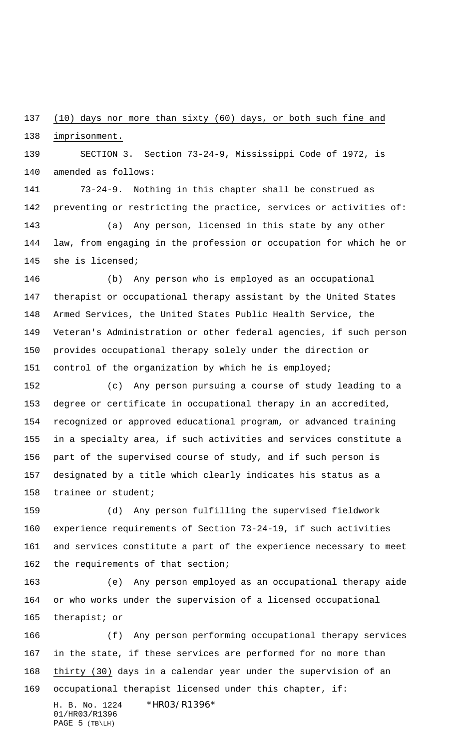(10) days nor more than sixty (60) days, or both such fine and

imprisonment.

 SECTION 3. Section 73-24-9, Mississippi Code of 1972, is amended as follows:

 73-24-9. Nothing in this chapter shall be construed as preventing or restricting the practice, services or activities of: (a) Any person, licensed in this state by any other

 law, from engaging in the profession or occupation for which he or she is licensed;

 (b) Any person who is employed as an occupational therapist or occupational therapy assistant by the United States Armed Services, the United States Public Health Service, the Veteran's Administration or other federal agencies, if such person provides occupational therapy solely under the direction or control of the organization by which he is employed;

 (c) Any person pursuing a course of study leading to a degree or certificate in occupational therapy in an accredited, recognized or approved educational program, or advanced training in a specialty area, if such activities and services constitute a part of the supervised course of study, and if such person is designated by a title which clearly indicates his status as a trainee or student;

 (d) Any person fulfilling the supervised fieldwork experience requirements of Section 73-24-19, if such activities and services constitute a part of the experience necessary to meet 162 the requirements of that section;

 (e) Any person employed as an occupational therapy aide or who works under the supervision of a licensed occupational therapist; or

H. B. No. 1224 \* HRO3/R1396\* (f) Any person performing occupational therapy services in the state, if these services are performed for no more than thirty (30) days in a calendar year under the supervision of an occupational therapist licensed under this chapter, if:

01/HR03/R1396 PAGE 5 (TB\LH)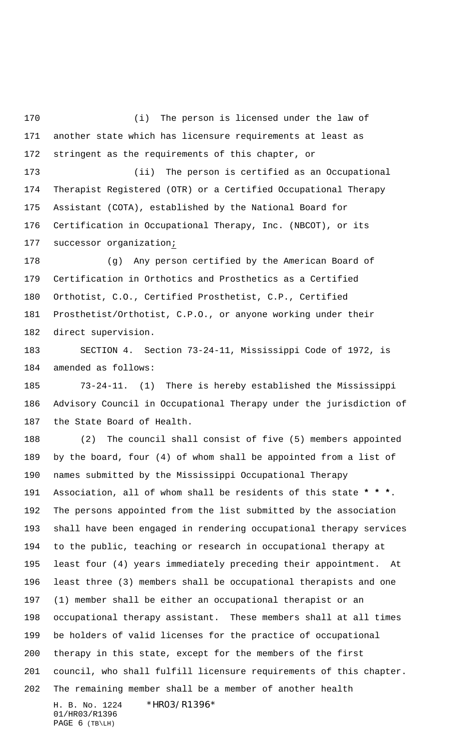(i) The person is licensed under the law of another state which has licensure requirements at least as stringent as the requirements of this chapter, or

 (ii) The person is certified as an Occupational Therapist Registered (OTR) or a Certified Occupational Therapy Assistant (COTA), established by the National Board for Certification in Occupational Therapy, Inc. (NBCOT), or its successor organization;

 (g) Any person certified by the American Board of Certification in Orthotics and Prosthetics as a Certified Orthotist, C.O., Certified Prosthetist, C.P., Certified Prosthetist/Orthotist, C.P.O., or anyone working under their direct supervision.

 SECTION 4. Section 73-24-11, Mississippi Code of 1972, is amended as follows:

 73-24-11. (1) There is hereby established the Mississippi Advisory Council in Occupational Therapy under the jurisdiction of the State Board of Health.

H. B. No. 1224 \* HRO3/R1396\* 01/HR03/R1396 (2) The council shall consist of five (5) members appointed by the board, four (4) of whom shall be appointed from a list of names submitted by the Mississippi Occupational Therapy Association, all of whom shall be residents of this state **\* \* \***. The persons appointed from the list submitted by the association shall have been engaged in rendering occupational therapy services to the public, teaching or research in occupational therapy at least four (4) years immediately preceding their appointment. At least three (3) members shall be occupational therapists and one (1) member shall be either an occupational therapist or an occupational therapy assistant. These members shall at all times be holders of valid licenses for the practice of occupational therapy in this state, except for the members of the first council, who shall fulfill licensure requirements of this chapter. The remaining member shall be a member of another health

PAGE 6 (TB\LH)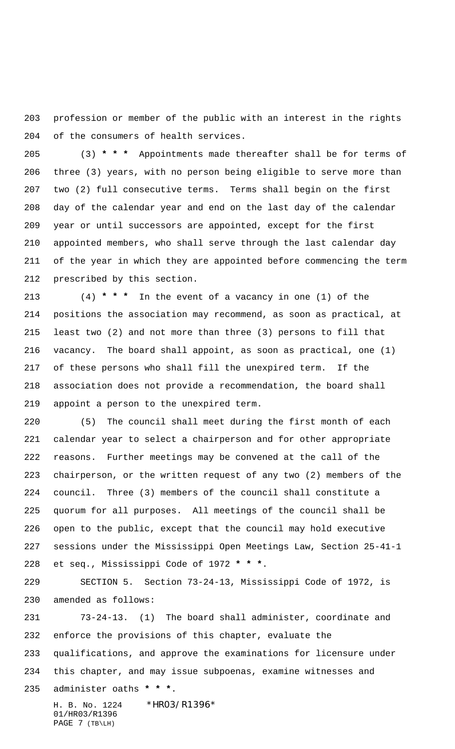profession or member of the public with an interest in the rights of the consumers of health services.

 (3) **\* \* \*** Appointments made thereafter shall be for terms of three (3) years, with no person being eligible to serve more than two (2) full consecutive terms. Terms shall begin on the first day of the calendar year and end on the last day of the calendar year or until successors are appointed, except for the first appointed members, who shall serve through the last calendar day of the year in which they are appointed before commencing the term prescribed by this section.

 (4) **\* \* \*** In the event of a vacancy in one (1) of the positions the association may recommend, as soon as practical, at least two (2) and not more than three (3) persons to fill that vacancy. The board shall appoint, as soon as practical, one (1) of these persons who shall fill the unexpired term. If the association does not provide a recommendation, the board shall appoint a person to the unexpired term.

 (5) The council shall meet during the first month of each calendar year to select a chairperson and for other appropriate reasons. Further meetings may be convened at the call of the chairperson, or the written request of any two (2) members of the council. Three (3) members of the council shall constitute a quorum for all purposes. All meetings of the council shall be open to the public, except that the council may hold executive sessions under the Mississippi Open Meetings Law, Section 25-41-1 et seq., Mississippi Code of 1972 **\* \* \***.

 SECTION 5. Section 73-24-13, Mississippi Code of 1972, is amended as follows:

 73-24-13. (1) The board shall administer, coordinate and enforce the provisions of this chapter, evaluate the qualifications, and approve the examinations for licensure under this chapter, and may issue subpoenas, examine witnesses and administer oaths **\* \* \***.

H. B. No. 1224 \* HRO3/R1396\* 01/HR03/R1396 PAGE 7 (TB\LH)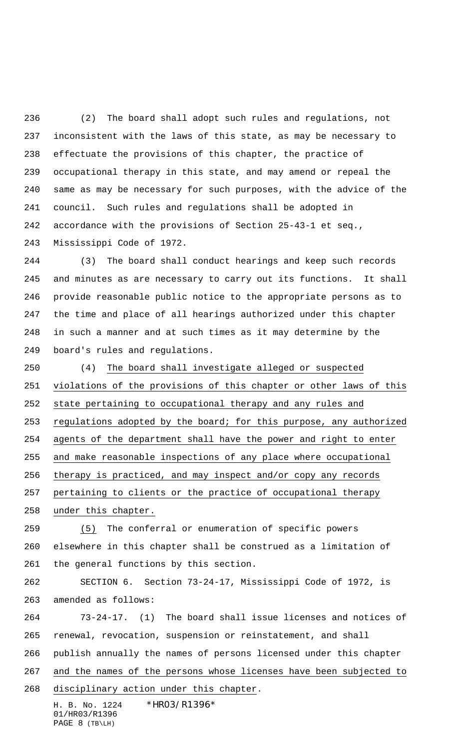(2) The board shall adopt such rules and regulations, not inconsistent with the laws of this state, as may be necessary to effectuate the provisions of this chapter, the practice of occupational therapy in this state, and may amend or repeal the same as may be necessary for such purposes, with the advice of the council. Such rules and regulations shall be adopted in accordance with the provisions of Section 25-43-1 et seq., Mississippi Code of 1972.

 (3) The board shall conduct hearings and keep such records and minutes as are necessary to carry out its functions. It shall provide reasonable public notice to the appropriate persons as to the time and place of all hearings authorized under this chapter in such a manner and at such times as it may determine by the board's rules and regulations.

 (4) The board shall investigate alleged or suspected violations of the provisions of this chapter or other laws of this state pertaining to occupational therapy and any rules and regulations adopted by the board; for this purpose, any authorized agents of the department shall have the power and right to enter and make reasonable inspections of any place where occupational therapy is practiced, and may inspect and/or copy any records pertaining to clients or the practice of occupational therapy under this chapter. (5) The conferral or enumeration of specific powers elsewhere in this chapter shall be construed as a limitation of the general functions by this section.

 SECTION 6. Section 73-24-17, Mississippi Code of 1972, is amended as follows:

 73-24-17. (1) The board shall issue licenses and notices of renewal, revocation, suspension or reinstatement, and shall publish annually the names of persons licensed under this chapter and the names of the persons whose licenses have been subjected to

disciplinary action under this chapter.

H. B. No. 1224 \* HRO3/R1396\* 01/HR03/R1396 PAGE 8 (TB\LH)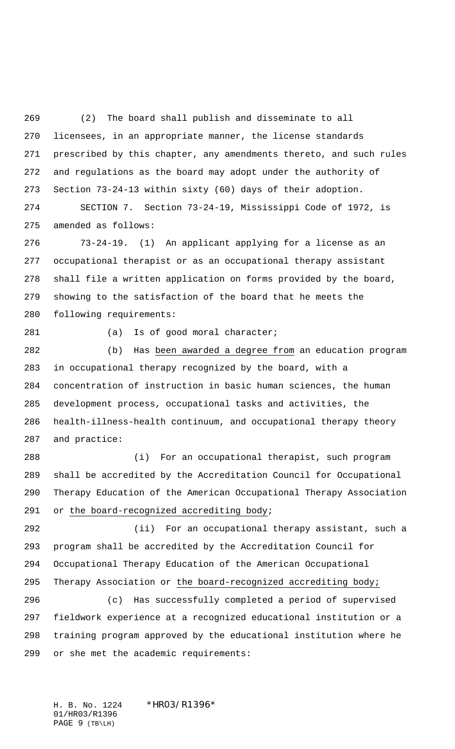(2) The board shall publish and disseminate to all licensees, in an appropriate manner, the license standards prescribed by this chapter, any amendments thereto, and such rules and regulations as the board may adopt under the authority of Section 73-24-13 within sixty (60) days of their adoption. SECTION 7. Section 73-24-19, Mississippi Code of 1972, is

amended as follows:

 73-24-19. (1) An applicant applying for a license as an occupational therapist or as an occupational therapy assistant shall file a written application on forms provided by the board, showing to the satisfaction of the board that he meets the following requirements:

281 (a) Is of good moral character;

 (b) Has been awarded a degree from an education program in occupational therapy recognized by the board, with a concentration of instruction in basic human sciences, the human development process, occupational tasks and activities, the health-illness-health continuum, and occupational therapy theory and practice:

 (i) For an occupational therapist, such program shall be accredited by the Accreditation Council for Occupational Therapy Education of the American Occupational Therapy Association or the board-recognized accrediting body;

 (ii) For an occupational therapy assistant, such a program shall be accredited by the Accreditation Council for Occupational Therapy Education of the American Occupational Therapy Association or the board-recognized accrediting body;

 (c) Has successfully completed a period of supervised fieldwork experience at a recognized educational institution or a training program approved by the educational institution where he or she met the academic requirements:

H. B. No. 1224 \*HR03/R1396\* 01/HR03/R1396 PAGE 9 (TB\LH)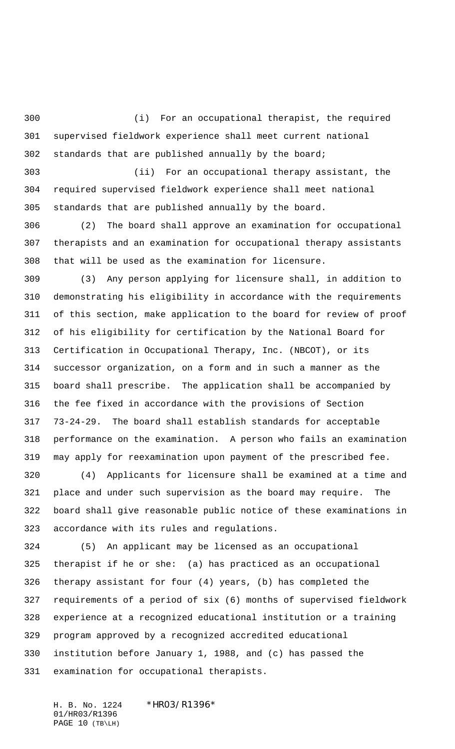(i) For an occupational therapist, the required supervised fieldwork experience shall meet current national standards that are published annually by the board;

 (ii) For an occupational therapy assistant, the required supervised fieldwork experience shall meet national standards that are published annually by the board.

 (2) The board shall approve an examination for occupational therapists and an examination for occupational therapy assistants that will be used as the examination for licensure.

 (3) Any person applying for licensure shall, in addition to demonstrating his eligibility in accordance with the requirements of this section, make application to the board for review of proof of his eligibility for certification by the National Board for Certification in Occupational Therapy, Inc. (NBCOT), or its successor organization, on a form and in such a manner as the board shall prescribe. The application shall be accompanied by the fee fixed in accordance with the provisions of Section 73-24-29. The board shall establish standards for acceptable performance on the examination. A person who fails an examination may apply for reexamination upon payment of the prescribed fee.

 (4) Applicants for licensure shall be examined at a time and place and under such supervision as the board may require. The board shall give reasonable public notice of these examinations in accordance with its rules and regulations.

 (5) An applicant may be licensed as an occupational therapist if he or she: (a) has practiced as an occupational therapy assistant for four (4) years, (b) has completed the requirements of a period of six (6) months of supervised fieldwork experience at a recognized educational institution or a training program approved by a recognized accredited educational institution before January 1, 1988, and (c) has passed the examination for occupational therapists.

H. B. No. 1224 \* HRO3/R1396\* 01/HR03/R1396 PAGE 10 (TB\LH)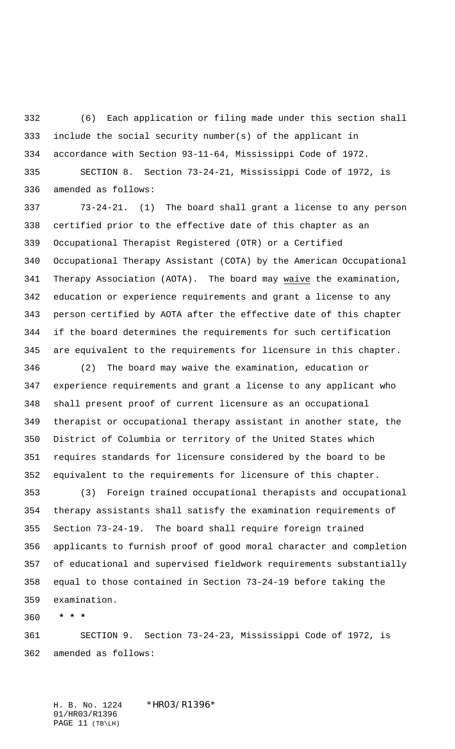(6) Each application or filing made under this section shall include the social security number(s) of the applicant in accordance with Section 93-11-64, Mississippi Code of 1972.

 SECTION 8. Section 73-24-21, Mississippi Code of 1972, is amended as follows:

 73-24-21. (1) The board shall grant a license to any person certified prior to the effective date of this chapter as an Occupational Therapist Registered (OTR) or a Certified Occupational Therapy Assistant (COTA) by the American Occupational Therapy Association (AOTA). The board may waive the examination, education or experience requirements and grant a license to any person certified by AOTA after the effective date of this chapter if the board determines the requirements for such certification are equivalent to the requirements for licensure in this chapter.

 (2) The board may waive the examination, education or experience requirements and grant a license to any applicant who shall present proof of current licensure as an occupational therapist or occupational therapy assistant in another state, the District of Columbia or territory of the United States which requires standards for licensure considered by the board to be equivalent to the requirements for licensure of this chapter.

 (3) Foreign trained occupational therapists and occupational therapy assistants shall satisfy the examination requirements of Section 73-24-19. The board shall require foreign trained applicants to furnish proof of good moral character and completion of educational and supervised fieldwork requirements substantially equal to those contained in Section 73-24-19 before taking the examination.

 **\* \* \***

 SECTION 9. Section 73-24-23, Mississippi Code of 1972, is amended as follows:

H. B. No. 1224 \* HRO3/R1396\* 01/HR03/R1396 PAGE 11 (TB\LH)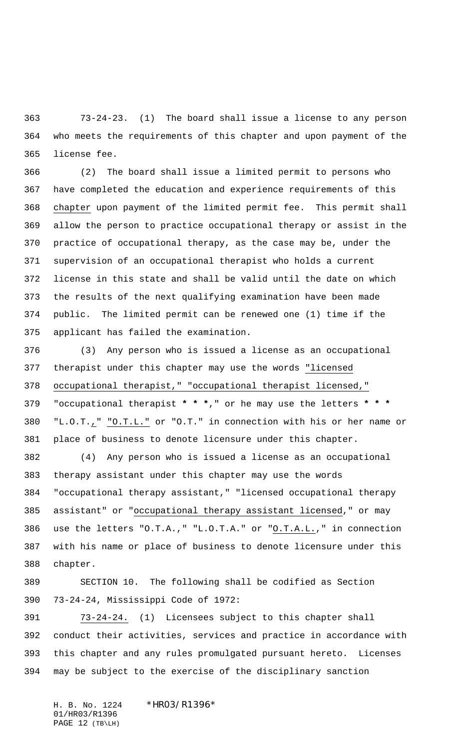73-24-23. (1) The board shall issue a license to any person who meets the requirements of this chapter and upon payment of the license fee.

 (2) The board shall issue a limited permit to persons who have completed the education and experience requirements of this chapter upon payment of the limited permit fee. This permit shall allow the person to practice occupational therapy or assist in the practice of occupational therapy, as the case may be, under the supervision of an occupational therapist who holds a current license in this state and shall be valid until the date on which the results of the next qualifying examination have been made public. The limited permit can be renewed one (1) time if the applicant has failed the examination.

 (3) Any person who is issued a license as an occupational therapist under this chapter may use the words "licensed occupational therapist," "occupational therapist licensed," "occupational therapist **\* \* \***," or he may use the letters **\* \* \*** "L.O.T.," "O.T.L." or "O.T." in connection with his or her name or place of business to denote licensure under this chapter.

 (4) Any person who is issued a license as an occupational therapy assistant under this chapter may use the words "occupational therapy assistant," "licensed occupational therapy assistant" or "occupational therapy assistant licensed," or may use the letters "O.T.A.," "L.O.T.A." or "O.T.A.L.," in connection with his name or place of business to denote licensure under this chapter.

 SECTION 10. The following shall be codified as Section 73-24-24, Mississippi Code of 1972:

 73-24-24. (1) Licensees subject to this chapter shall conduct their activities, services and practice in accordance with this chapter and any rules promulgated pursuant hereto. Licenses may be subject to the exercise of the disciplinary sanction

H. B. No. 1224 \* HRO3/R1396\* 01/HR03/R1396 PAGE 12 (TB\LH)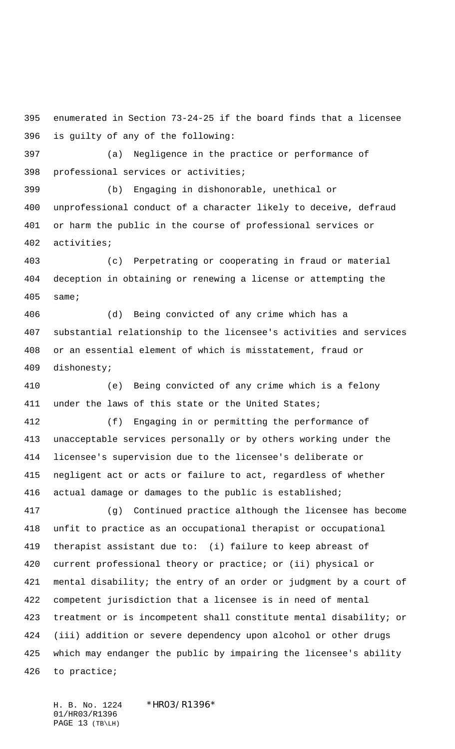enumerated in Section 73-24-25 if the board finds that a licensee is guilty of any of the following:

 (a) Negligence in the practice or performance of professional services or activities;

 (b) Engaging in dishonorable, unethical or unprofessional conduct of a character likely to deceive, defraud or harm the public in the course of professional services or activities;

 (c) Perpetrating or cooperating in fraud or material deception in obtaining or renewing a license or attempting the same;

 (d) Being convicted of any crime which has a substantial relationship to the licensee's activities and services or an essential element of which is misstatement, fraud or dishonesty;

 (e) Being convicted of any crime which is a felony under the laws of this state or the United States;

 (f) Engaging in or permitting the performance of unacceptable services personally or by others working under the licensee's supervision due to the licensee's deliberate or negligent act or acts or failure to act, regardless of whether actual damage or damages to the public is established;

 (g) Continued practice although the licensee has become unfit to practice as an occupational therapist or occupational therapist assistant due to: (i) failure to keep abreast of current professional theory or practice; or (ii) physical or mental disability; the entry of an order or judgment by a court of competent jurisdiction that a licensee is in need of mental treatment or is incompetent shall constitute mental disability; or (iii) addition or severe dependency upon alcohol or other drugs which may endanger the public by impairing the licensee's ability to practice;

H. B. No. 1224 \* HRO3/R1396\* 01/HR03/R1396 PAGE 13 (TB\LH)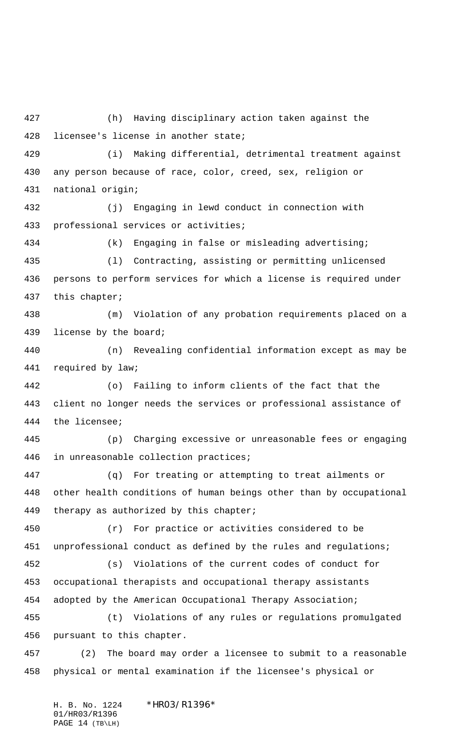(h) Having disciplinary action taken against the licensee's license in another state; (i) Making differential, detrimental treatment against any person because of race, color, creed, sex, religion or national origin; (j) Engaging in lewd conduct in connection with professional services or activities; (k) Engaging in false or misleading advertising; (l) Contracting, assisting or permitting unlicensed persons to perform services for which a license is required under this chapter; (m) Violation of any probation requirements placed on a license by the board; (n) Revealing confidential information except as may be required by law; (o) Failing to inform clients of the fact that the client no longer needs the services or professional assistance of the licensee; (p) Charging excessive or unreasonable fees or engaging in unreasonable collection practices; (q) For treating or attempting to treat ailments or other health conditions of human beings other than by occupational 449 therapy as authorized by this chapter; (r) For practice or activities considered to be unprofessional conduct as defined by the rules and regulations; (s) Violations of the current codes of conduct for occupational therapists and occupational therapy assistants adopted by the American Occupational Therapy Association; (t) Violations of any rules or regulations promulgated pursuant to this chapter. (2) The board may order a licensee to submit to a reasonable physical or mental examination if the licensee's physical or

H. B. No. 1224 \* HRO3/R1396\* 01/HR03/R1396 PAGE 14 (TB\LH)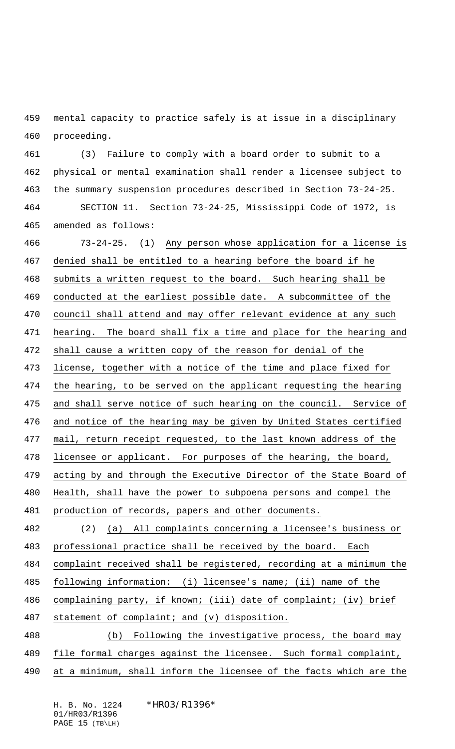mental capacity to practice safely is at issue in a disciplinary proceeding.

 (3) Failure to comply with a board order to submit to a physical or mental examination shall render a licensee subject to the summary suspension procedures described in Section 73-24-25. SECTION 11. Section 73-24-25, Mississippi Code of 1972, is amended as follows:

 73-24-25. (1) Any person whose application for a license is denied shall be entitled to a hearing before the board if he submits a written request to the board. Such hearing shall be conducted at the earliest possible date. A subcommittee of the council shall attend and may offer relevant evidence at any such hearing. The board shall fix a time and place for the hearing and shall cause a written copy of the reason for denial of the license, together with a notice of the time and place fixed for the hearing, to be served on the applicant requesting the hearing 475 and shall serve notice of such hearing on the council. Service of and notice of the hearing may be given by United States certified mail, return receipt requested, to the last known address of the licensee or applicant. For purposes of the hearing, the board, acting by and through the Executive Director of the State Board of Health, shall have the power to subpoena persons and compel the production of records, papers and other documents. (2) (a) All complaints concerning a licensee's business or 483 professional practice shall be received by the board. Each complaint received shall be registered, recording at a minimum the following information: (i) licensee's name; (ii) name of the complaining party, if known; (iii) date of complaint; (iv) brief statement of complaint; and (v) disposition. (b) Following the investigative process, the board may file formal charges against the licensee. Such formal complaint, at a minimum, shall inform the licensee of the facts which are the

H. B. No. 1224 \* HRO3/R1396\* 01/HR03/R1396 PAGE 15 (TB\LH)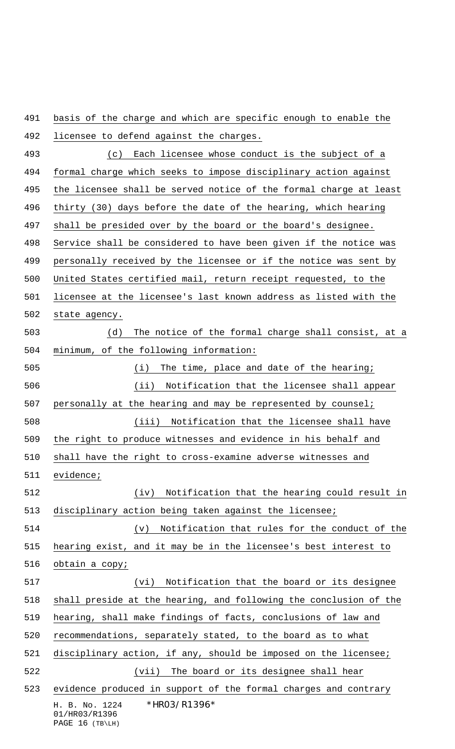H. B. No. 1224 \* HRO3/R1396\* 01/HR03/R1396 basis of the charge and which are specific enough to enable the licensee to defend against the charges. (c) Each licensee whose conduct is the subject of a formal charge which seeks to impose disciplinary action against the licensee shall be served notice of the formal charge at least thirty (30) days before the date of the hearing, which hearing shall be presided over by the board or the board's designee. Service shall be considered to have been given if the notice was personally received by the licensee or if the notice was sent by United States certified mail, return receipt requested, to the licensee at the licensee's last known address as listed with the state agency. (d) The notice of the formal charge shall consist, at a minimum, of the following information: (i) The time, place and date of the hearing; (ii) Notification that the licensee shall appear personally at the hearing and may be represented by counsel; (iii) Notification that the licensee shall have the right to produce witnesses and evidence in his behalf and shall have the right to cross-examine adverse witnesses and evidence; (iv) Notification that the hearing could result in disciplinary action being taken against the licensee; (v) Notification that rules for the conduct of the hearing exist, and it may be in the licensee's best interest to obtain a copy; (vi) Notification that the board or its designee shall preside at the hearing, and following the conclusion of the hearing, shall make findings of facts, conclusions of law and recommendations, separately stated, to the board as to what disciplinary action, if any, should be imposed on the licensee; (vii) The board or its designee shall hear evidence produced in support of the formal charges and contrary

PAGE 16 (TB\LH)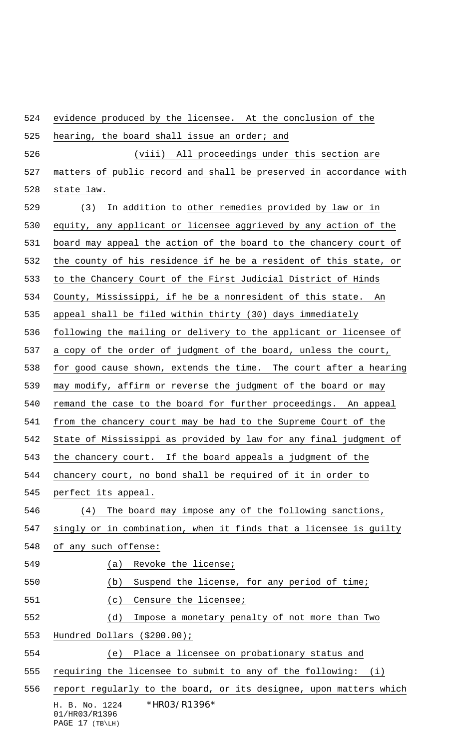H. B. No. 1224 \* HRO3/R1396\* 01/HR03/R1396 evidence produced by the licensee. At the conclusion of the 525 hearing, the board shall issue an order; and (viii) All proceedings under this section are 527 matters of public record and shall be preserved in accordance with state law. (3) In addition to other remedies provided by law or in equity, any applicant or licensee aggrieved by any action of the board may appeal the action of the board to the chancery court of the county of his residence if he be a resident of this state, or to the Chancery Court of the First Judicial District of Hinds County, Mississippi, if he be a nonresident of this state. An appeal shall be filed within thirty (30) days immediately following the mailing or delivery to the applicant or licensee of a copy of the order of judgment of the board, unless the court, for good cause shown, extends the time. The court after a hearing may modify, affirm or reverse the judgment of the board or may 540 remand the case to the board for further proceedings. An appeal from the chancery court may be had to the Supreme Court of the State of Mississippi as provided by law for any final judgment of the chancery court. If the board appeals a judgment of the chancery court, no bond shall be required of it in order to perfect its appeal. (4) The board may impose any of the following sanctions, singly or in combination, when it finds that a licensee is guilty of any such offense: 549 (a) Revoke the license; (b) Suspend the license, for any period of time; (c) Censure the licensee; (d) Impose a monetary penalty of not more than Two Hundred Dollars (\$200.00); (e) Place a licensee on probationary status and requiring the licensee to submit to any of the following: (i) 556 report regularly to the board, or its designee, upon matters which

PAGE 17 (TB\LH)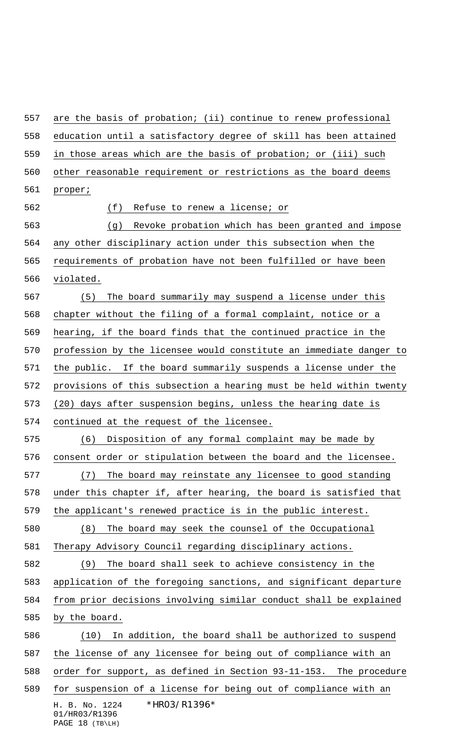H. B. No. 1224 \* HR03/R1396\* 01/HR03/R1396 are the basis of probation; (ii) continue to renew professional education until a satisfactory degree of skill has been attained in those areas which are the basis of probation; or (iii) such other reasonable requirement or restrictions as the board deems proper; (f) Refuse to renew a license; or (g) Revoke probation which has been granted and impose any other disciplinary action under this subsection when the requirements of probation have not been fulfilled or have been violated. (5) The board summarily may suspend a license under this chapter without the filing of a formal complaint, notice or a hearing, if the board finds that the continued practice in the profession by the licensee would constitute an immediate danger to the public. If the board summarily suspends a license under the provisions of this subsection a hearing must be held within twenty (20) days after suspension begins, unless the hearing date is continued at the request of the licensee. (6) Disposition of any formal complaint may be made by consent order or stipulation between the board and the licensee. (7) The board may reinstate any licensee to good standing under this chapter if, after hearing, the board is satisfied that the applicant's renewed practice is in the public interest. (8) The board may seek the counsel of the Occupational Therapy Advisory Council regarding disciplinary actions. (9) The board shall seek to achieve consistency in the application of the foregoing sanctions, and significant departure from prior decisions involving similar conduct shall be explained by the board. (10) In addition, the board shall be authorized to suspend the license of any licensee for being out of compliance with an order for support, as defined in Section 93-11-153. The procedure for suspension of a license for being out of compliance with an

```
PAGE 18 (TB\LH)
```